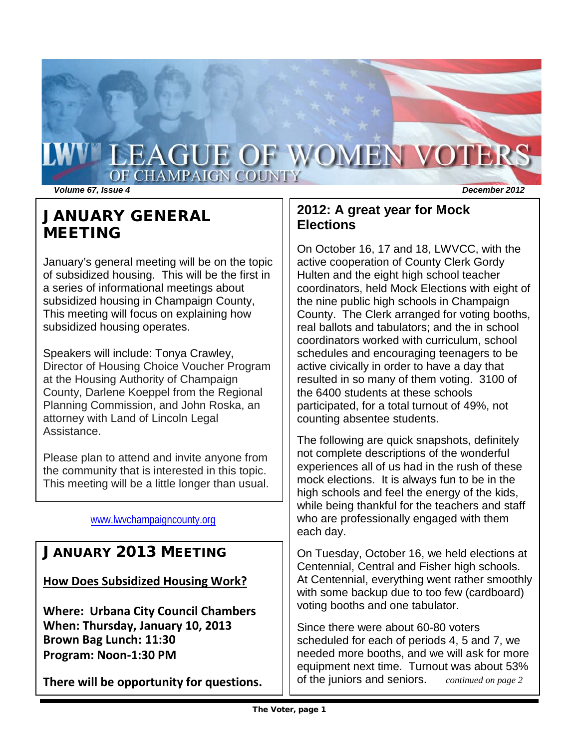# WILEAGUE OF WOMEN VOTERS OF CHAMPAIGN COUNTY

*Volume 67, Issue 4 December 2012*

# JANUARY GENERAL MEETING

January's general meeting will be on the topic of subsidized housing. This will be the first in a series of informational meetings about subsidized housing in Champaign County, This meeting will focus on explaining how subsidized housing operates.

Speakers will include: Tonya Crawley, Director of Housing Choice Voucher Program at the Housing Authority of Champaign County, Darlene Koeppel from the Regional Planning Commission, and John Roska, an attorney with Land of Lincoln Legal Assistance.

Please plan to attend and invite anyone from the community that is interested in this topic. This meeting will be a little longer than usual.

# [www.lwvchampaigncounty.org](http://www.lwvchampaigncounty.org/)

# JANUARY 2013 MEETING

**How Does Subsidized Housing Work?**

**Where: Urbana City Council Chambers When: Thursday, January 10, 2013 Brown Bag Lunch: 11:30 Program: Noon-1:30 PM**

**There will be opportunity for questions.**

# **2012: A great year for Mock Elections**

On October 16, 17 and 18, LWVCC, with the active cooperation of County Clerk Gordy Hulten and the eight high school teacher coordinators, held Mock Elections with eight of the nine public high schools in Champaign County. The Clerk arranged for voting booths, real ballots and tabulators; and the in school coordinators worked with curriculum, school schedules and encouraging teenagers to be active civically in order to have a day that resulted in so many of them voting. 3100 of the 6400 students at these schools participated, for a total turnout of 49%, not counting absentee students.

The following are quick snapshots, definitely not complete descriptions of the wonderful experiences all of us had in the rush of these mock elections. It is always fun to be in the high schools and feel the energy of the kids, while being thankful for the teachers and staff who are professionally engaged with them each day.

On Tuesday, October 16, we held elections at Centennial, Central and Fisher high schools. At Centennial, everything went rather smoothly with some backup due to too few (cardboard) voting booths and one tabulator.

Since there were about 60-80 voters scheduled for each of periods 4, 5 and 7, we needed more booths, and we will ask for more equipment next time. Turnout was about 53% of the juniors and seniors. *continued on page 2*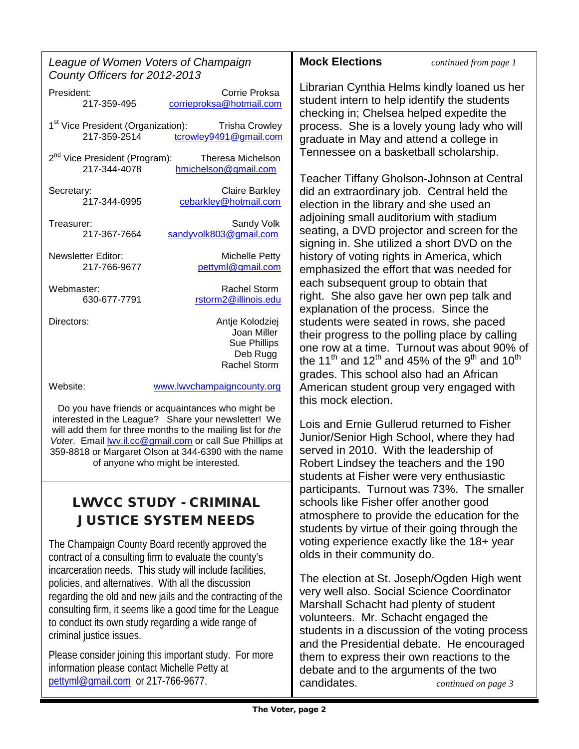| League of Women Voters of Champaign |
|-------------------------------------|
| County Officers for 2012-2013       |

President: Corrie Proksa<br>217-359-495 corrieproksa@hotmail.com [corrieproksa@hotmail.com](mailto:corrieproksa@hotmail.com) 1<sup>st</sup> Vice President (Organization): Trisha Crowley<br>217-359-2514 tcrowlev9491@gmail.com [tcrowley9491@gmail.com](mailto:tcrowley9491@gmail.com)

2<sup>nd</sup> Vice President (Program): Theresa Michelson<br>217-344-4078 hmichelson@gmail.com [hmichelson@gmail.com](mailto:hmichelson@gmail.com)

Secretary: Claire Barkley<br>217-344-6995 cebarkley@hotmail.com [cebarkley@hotmail.com](mailto:cebarkley@hotmail.com)

Treasurer: Sandy Volk<br>217-367-7664 sandyvolk803@gmail.com [sandyvolk803@gmail.com](mailto:sandyvolk803@gmail.com)

Newsletter Editor: Michelle Petty<br>217-766-9677 bettynl@gmail.com [pettyml@gmail.com](mailto:pettyml@gmail.com)

Webmaster: Rachel Storm<br>630-677-7791 rstorm2@illinois.edu 630-677-7791 [rstorm2@illinois.edu](mailto:rstorm2@illinois.edu)

Directors: Antje Kolodziej Joan Miller Sue Phillips Deb Rugg Rachel Storm

Website: [www.lwvchampaigncounty.org](http://www.lwvchampaigncounty.org/)

Do you have friends or acquaintances who might be interested in the League? Share your newsletter! We will add them for three months to the mailing list for *the Voter*. Email [lwv.il.cc@gmail.com](mailto:lwv.il.cc@gmail.com) or call Sue Phillips at 359-8818 or Margaret Olson at 344-6390 with the name of anyone who might be interested.

# LWVCC STUDY - CRIMINAL JUSTICE SYSTEM NEEDS

The Champaign County Board recently approved the contract of a consulting firm to evaluate the county's incarceration needs. This study will include facilities, policies, and alternatives. With all the discussion regarding the old and new jails and the contracting of the consulting firm, it seems like a good time for the League to conduct its own study regarding a wide range of criminal justice issues.

Please consider joining this important study. For more information please contact Michelle Petty at [pettyml@gmail.com](mailto:pettyml@gmail.com) or 217-766-9677.

**Mock Elections** *continued from page 1*

Librarian Cynthia Helms kindly loaned us her student intern to help identify the students checking in; Chelsea helped expedite the process. She is a lovely young lady who will graduate in May and attend a college in Tennessee on a basketball scholarship.

Teacher Tiffany Gholson-Johnson at Central did an extraordinary job. Central held the election in the library and she used an adjoining small auditorium with stadium seating, a DVD projector and screen for the signing in. She utilized a short DVD on the history of voting rights in America, which emphasized the effort that was needed for each subsequent group to obtain that right. She also gave her own pep talk and explanation of the process. Since the students were seated in rows, she paced their progress to the polling place by calling one row at a time. Turnout was about 90% of the 11<sup>th</sup> and 12<sup>th</sup> and 45% of the 9<sup>th</sup> and 10<sup>th</sup> grades. This school also had an African American student group very engaged with this mock election.

Lois and Ernie Gullerud returned to Fisher Junior/Senior High School, where they had served in 2010. With the leadership of Robert Lindsey the teachers and the 190 students at Fisher were very enthusiastic participants. Turnout was 73%. The smaller schools like Fisher offer another good atmosphere to provide the education for the students by virtue of their going through the voting experience exactly like the 18+ year olds in their community do.

The election at St. Joseph/Ogden High went very well also. Social Science Coordinator Marshall Schacht had plenty of student volunteers. Mr. Schacht engaged the students in a discussion of the voting process and the Presidential debate. He encouraged them to express their own reactions to the debate and to the arguments of the two candidates. *continued on page 3*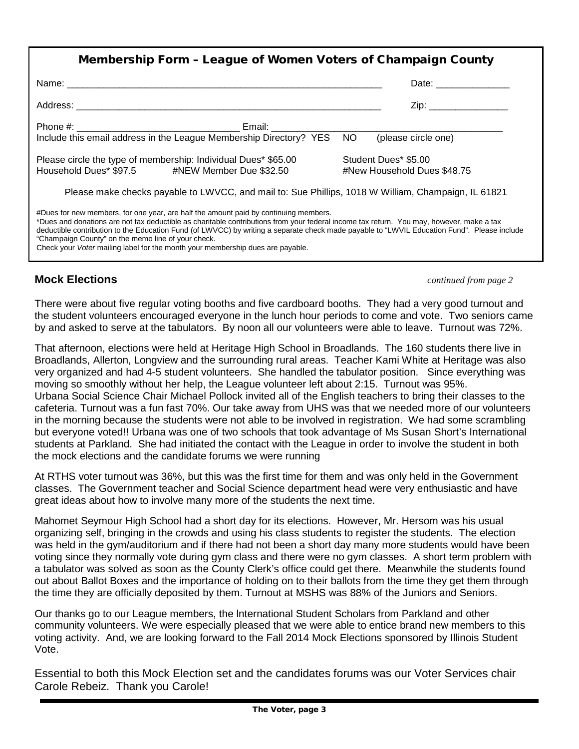| Membership Form - League of Women Voters of Champaign County                                                                                                                                                                                                                                                                                                                                                                                                                                                            |                                                     |  |
|-------------------------------------------------------------------------------------------------------------------------------------------------------------------------------------------------------------------------------------------------------------------------------------------------------------------------------------------------------------------------------------------------------------------------------------------------------------------------------------------------------------------------|-----------------------------------------------------|--|
|                                                                                                                                                                                                                                                                                                                                                                                                                                                                                                                         |                                                     |  |
|                                                                                                                                                                                                                                                                                                                                                                                                                                                                                                                         | Zip: _________________                              |  |
|                                                                                                                                                                                                                                                                                                                                                                                                                                                                                                                         |                                                     |  |
| Please circle the type of membership: Individual Dues* \$65.00<br>Household Dues* \$97.5 #NEW Member Due \$32.50                                                                                                                                                                                                                                                                                                                                                                                                        | Student Dues* \$5.00<br>#New Household Dues \$48.75 |  |
| Please make checks payable to LWVCC, and mail to: Sue Phillips, 1018 W William, Champaign, IL 61821                                                                                                                                                                                                                                                                                                                                                                                                                     |                                                     |  |
| #Dues for new members, for one year, are half the amount paid by continuing members.<br>*Dues and donations are not tax deductible as charitable contributions from your federal income tax return. You may, however, make a tax<br>deductible contribution to the Education Fund (of LWVCC) by writing a separate check made payable to "LWVIL Education Fund". Please include<br>"Champaign County" on the memo line of your check.<br>Check your Voter mailing label for the month your membership dues are payable. |                                                     |  |

# **Mock Elections** *continued from page 2*

There were about five regular voting booths and five cardboard booths. They had a very good turnout and the student volunteers encouraged everyone in the lunch hour periods to come and vote. Two seniors came by and asked to serve at the tabulators. By noon all our volunteers were able to leave. Turnout was 72%.

That afternoon, elections were held at Heritage High School in Broadlands. The 160 students there live in Broadlands, Allerton, Longview and the surrounding rural areas. Teacher Kami White at Heritage was also very organized and had 4-5 student volunteers. She handled the tabulator position. Since everything was moving so smoothly without her help, the League volunteer left about 2:15. Turnout was 95%. Urbana Social Science Chair Michael Pollock invited all of the English teachers to bring their classes to the cafeteria. Turnout was a fun fast 70%. Our take away from UHS was that we needed more of our volunteers in the morning because the students were not able to be involved in registration. We had some scrambling but everyone voted!! Urbana was one of two schools that took advantage of Ms Susan Short's International students at Parkland. She had initiated the contact with the League in order to involve the student in both the mock elections and the candidate forums we were running

At RTHS voter turnout was 36%, but this was the first time for them and was only held in the Government classes. The Government teacher and Social Science department head were very enthusiastic and have great ideas about how to involve many more of the students the next time.

Mahomet Seymour High School had a short day for its elections. However, Mr. Hersom was his usual organizing self, bringing in the crowds and using his class students to register the students. The election was held in the gym/auditorium and if there had not been a short day many more students would have been voting since they normally vote during gym class and there were no gym classes. A short term problem with a tabulator was solved as soon as the County Clerk's office could get there. Meanwhile the students found out about Ballot Boxes and the importance of holding on to their ballots from the time they get them through the time they are officially deposited by them. Turnout at MSHS was 88% of the Juniors and Seniors.

Our thanks go to our League members, the lnternational Student Scholars from Parkland and other community volunteers. We were especially pleased that we were able to entice brand new members to this voting activity. And, we are looking forward to the Fall 2014 Mock Elections sponsored by Illinois Student Vote.

Essential to both this Mock Election set and the candidates forums was our Voter Services chair Carole Rebeiz. Thank you Carole!